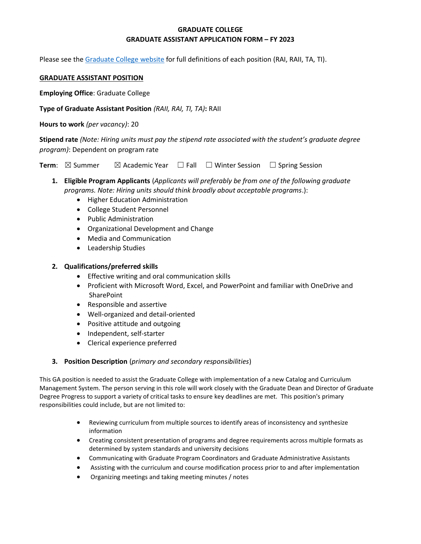# **GRADUATE COLLEGE GRADUATE ASSISTANT APPLICATION FORM – FY 2023**

Please see the [Graduate College website](https://www.bgsu.edu/content/dam/BGSU/graduate-college/doc/graduate-assistantship-policy/FINAL-Grad-Col-GA-guidelines-2020-21.pdf) for full definitions of each position (RAI, RAII, TA, TI).

### **GRADUATE ASSISTANT POSITION**

**Employing Office**: Graduate College

**Type of Graduate Assistant Position** *(RAII, RAI, TI, TA)***:** RAII

**Hours to work** *(per vacancy)*: 20

**Stipend rate** *(Note: Hiring units must pay the stipend rate associated with the student's graduate degree program)*: Dependent on program rate

**Term**: ⊠ Summer ⊠ Academic Year □ Fall □ Winter Session □ Spring Session

- **1. Eligible Program Applicants** (*Applicants will preferably be from one of the following graduate programs. Note: Hiring units should think broadly about acceptable programs*.):
	- Higher Education Administration
	- College Student Personnel
	- Public Administration
	- Organizational Development and Change
	- Media and Communication
	- Leadership Studies

## **2. Qualifications/preferred skills**

- Effective writing and oral communication skills
- Proficient with Microsoft Word, Excel, and PowerPoint and familiar with OneDrive and **SharePoint**
- Responsible and assertive
- Well-organized and detail-oriented
- Positive attitude and outgoing
- Independent, self-starter
- Clerical experience preferred

## **3. Position Description** (*primary and secondary responsibilities*)

This GA position is needed to assist the Graduate College with implementation of a new Catalog and Curriculum Management System. The person serving in this role will work closely with the Graduate Dean and Director of Graduate Degree Progress to support a variety of critical tasks to ensure key deadlines are met. This position's primary responsibilities could include, but are not limited to:

- Reviewing curriculum from multiple sources to identify areas of inconsistency and synthesize information
- Creating consistent presentation of programs and degree requirements across multiple formats as determined by system standards and university decisions
- Communicating with Graduate Program Coordinators and Graduate Administrative Assistants
- Assisting with the curriculum and course modification process prior to and after implementation
- Organizing meetings and taking meeting minutes / notes